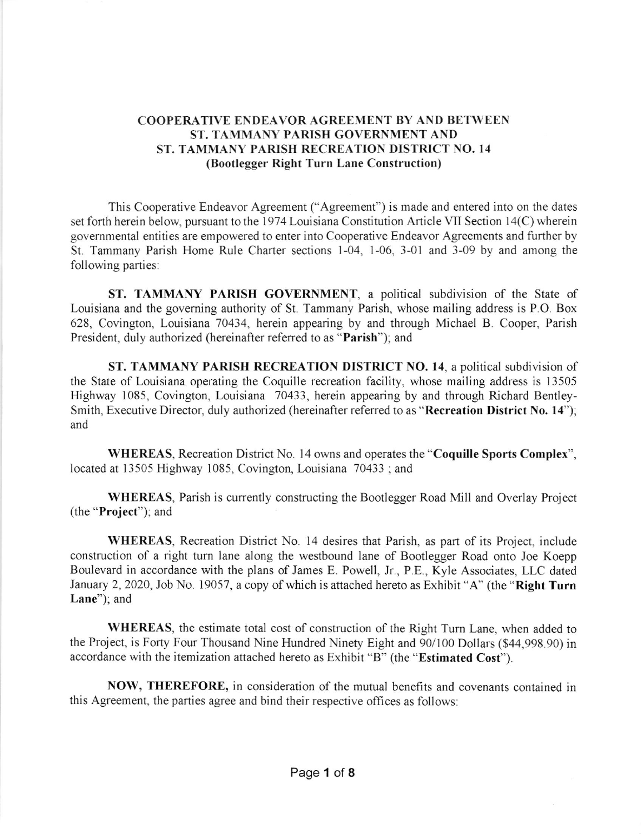## COOPERATIVE ENDEAVOR AGREEMENT BY AND BETWEEN ST. TAMMANY PARISH GOVERNMENT AND ST. TAMMANY PARISH RECREATION DISTRICT NO. <sup>14</sup> (Bootlegger Right Turn Lane Construction)

This Cooperative Endeavor Agreement ("Agreement") is made and entered into on the dates set forth herein below, pursuant to the 1974 Louisiana Constitution Article VII Section l4(C) wherein governmental entities are empowered to enter into Cooperative Endeavor Agreements and further by St. Tammany Parish Home Rule Charter sections 1-04, 1-06, 3-01 and 3-09 by and among the following parties:

ST. TAMMANY PARISH GOVERNMENT, a political subdivision of the State of Louisiana and the goveming authority of St. Tammany Parish, whose mailing address is P.O. Box 628, Covington, Louisiana 70434, herein appearing by and through Michael B. Cooper, Parish President, duly authorized (hereinafter referred to as "Parish"); and

ST. TAMMANY PARISH RECREATION DISTRICT NO. 14. a political subdivision of the State of Louisiana operating the Coquille recreation facility, whose mailing address is 13505 Highway 1085, Covington, Louisiana 70433, herein appearing by and through Richard Bentley-Smith, Executive Director, duly authorized (hereinafter referred to as "Recreation District No. 14"); and

WHEREAS, Recreation District No. 14 owns and operates the "Coquille Sports Complex", located at 13505 Highway 1085, Covington, Louisiana 70433 ; and

WHEREAS, Parish is currently constructing the Bootlegger Road Mill and Overlay Project (the "Project"), and

WHEREAS, Recreation District No. 14 desires that Parish, as part of its Project, include construction of a right turn lane along the westbound lane of Bootlegger Road onto Joe Koepp Boulevard in accordance with the plans of James E. Powell, Jr., P.E., Kyle Associates, LLC dated January 2, 2020, Job No. 19057, a copy of which is attached hereto as Exhibit "A" (the "Right Turn Lane"); and

WHEREAS, the estimate total cost of construction of the Right Tum Lane, when added to the Project, is Forty Four Thousand Nine Hundred Ninety Eight and 90/100 Dollars (\$44,998.90) in accordance with the itemization attached hereto as Exhibit "B" (the "Estimated Cost").

NOW, THEREFORE, in consideration of the mutual benefits and covenants contained in this Agreement, the parties agree and bind their respective offices as follows: